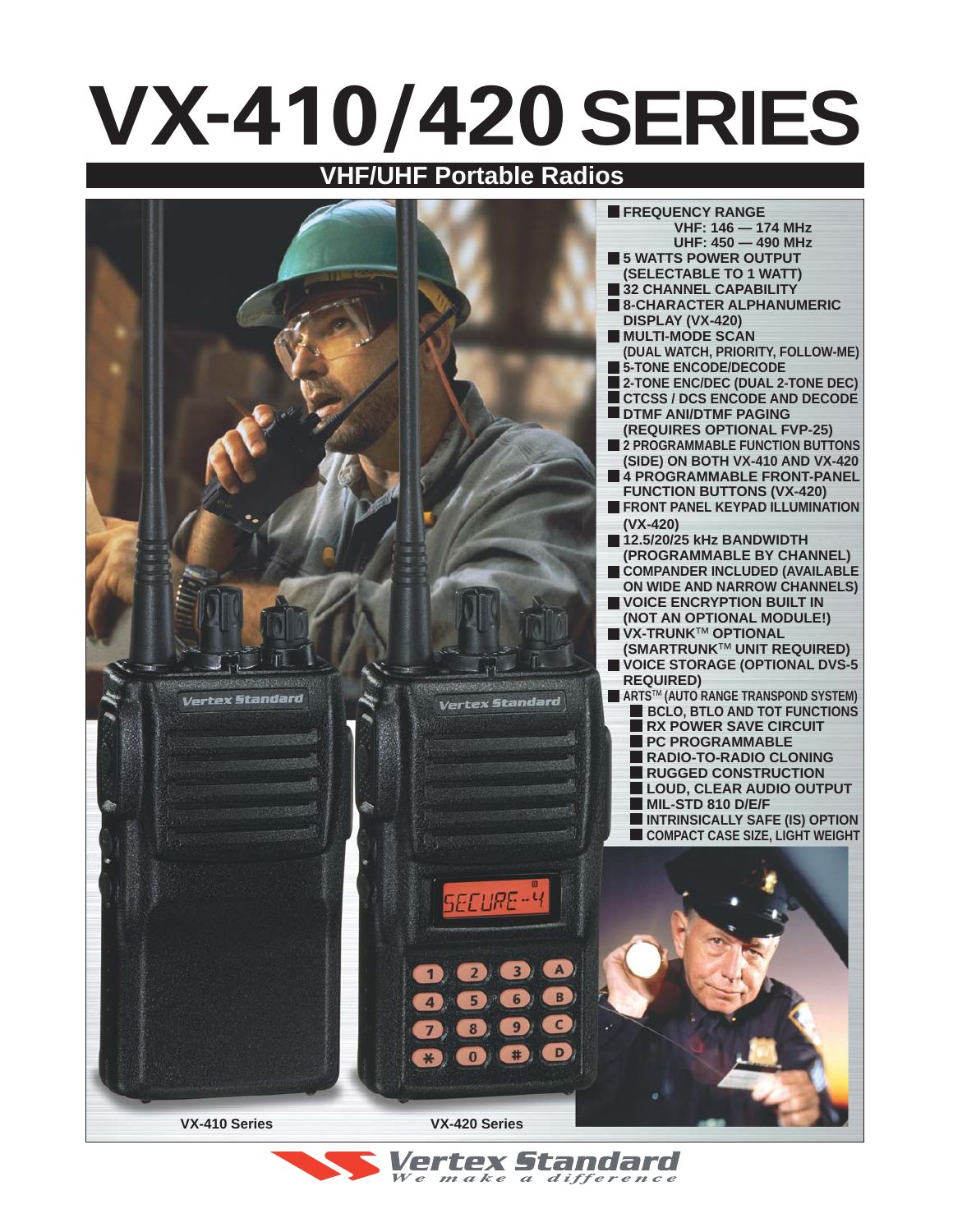# **VX-410/420SERIES**

## **VHF/UHF Portable Radios**



Vertex Standard We make a difference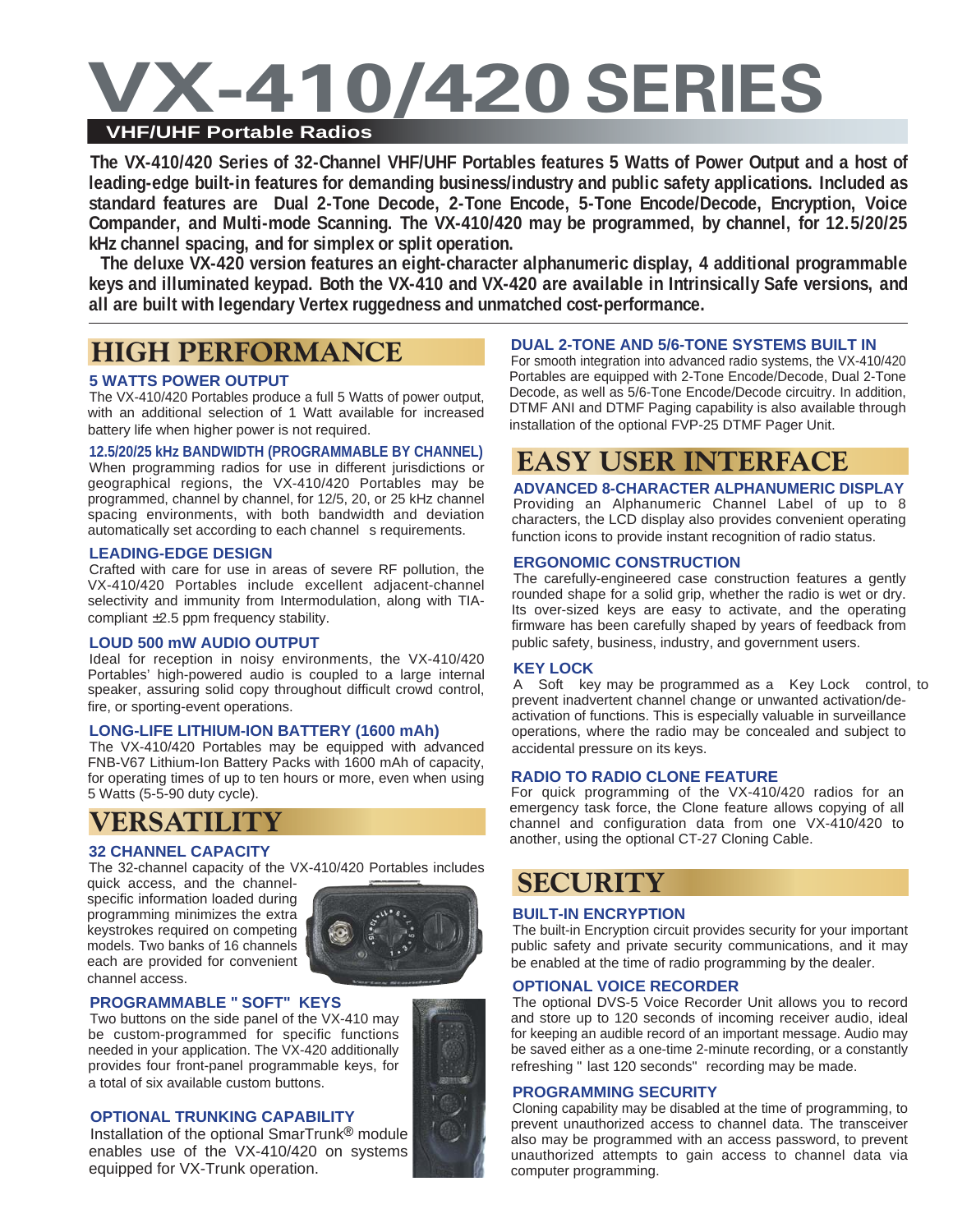## **VX-410/420 SERIES VHF/UHF Portable Radios**

**The VX-410/420 Series of 32-Channel VHF/UHF Portables features 5 Watts of Power Output and a host of leading-edge built-in features for demanding business/industry and public safety applications. Included as standard features are Dual 2-Tone Decode, 2-Tone Encode, 5-Tone Encode/Decode, Encryption, Voice Compander, and Multi-mode Scanning. The VX-410/420 may be programmed, by channel, for 12.5/20/25 kHz channel spacing, and for simplex or split operation.**

**The deluxe VX-420 version features an eight-character alphanumeric display, 4 additional programmable keys and illuminated keypad. Both the VX-410 and VX-420 are available in Intrinsically Safe versions, and all are built with legendary Vertex ruggedness and unmatched cost-performance.**

## **HIGH PERFORMANCE**

### **5 WATTS POWER OUTPUT**

The VX-410/420 Portables produce a full 5 Watts of power output, with an additional selection of 1 Watt available for increased battery life when higher power is not required.

#### **12.5/20/25 kHz BANDWIDTH (PROGRAMMABLE BY CHANNEL)**

When programming radios for use in different jurisdictions or geographical regions, the VX-410/420 Portables may be programmed, channel by channel, for 12/5, 20, or 25 kHz channel spacing environments, with both bandwidth and deviation automatically set according to each channel s requirements.

#### **LEADING-EDGE DESIGN**

Crafted with care for use in areas of severe RF pollution, the VX-410/420 Portables include excellent adjacent-channel selectivity and immunity from Intermodulation, along with TIAcompliant ±2.5 ppm frequency stability.

#### **LOUD 500 mW AUDIO OUTPUT**

Ideal for reception in noisy environments, the VX-410/420 Portables' high-powered audio is coupled to a large internal speaker, assuring solid copy throughout difficult crowd control, fire, or sporting-event operations.

#### **LONG-LIFE LITHIUM-ION BATTERY (1600 mAh)**

The VX-410/420 Portables may be equipped with advanced FNB-V67 Lithium-Ion Battery Packs with 1600 mAh of capacity, for operating times of up to ten hours or more, even when using 5 Watts (5-5-90 duty cycle).

## **VERSATILITY**

The 32-channel capacity of the VX-410/420 Portables includes

quick access, and the channelspecific information loaded during programming minimizes the extra keystrokes required on competing models. Two banks of 16 channels each are provided for convenient channel access.



#### **PROGRAMMABLE "SOFT" KEYS**

Two buttons on the side panel of the VX-410 may be custom-programmed for specific functions needed in your application. The VX-420 additionally provides four front-panel programmable keys, for a total of six available custom buttons.

#### **OPTIONAL TRUNKING CAPABILITY**

Installation of the optional SmarTrunk® module enables use of the VX-410/420 on systems equipped for VX-Trunk operation.

#### **DUAL 2-TONE AND 5/6-TONE SYSTEMS BUILT IN**

For smooth integration into advanced radio systems, the VX-410/420 Portables are equipped with 2-Tone Encode/Decode, Dual 2-Tone Decode, as well as 5/6-Tone Encode/Decode circuitry. In addition, DTMF ANI and DTMF Paging capability is also available through installation of the optional FVP-25 DTMF Pager Unit.

## **EASY USER INTERFACE**

**ADVANCED 8-CHARACTER ALPHANUMERIC DISPLAY** Providing an Alphanumeric Channel Label of up to 8 characters, the LCD display also provides convenient operating function icons to provide instant recognition of radio status.

#### **ERGONOMIC CONSTRUCTION**

The carefully-engineered case construction features a gently rounded shape for a solid grip, whether the radio is wet or dry. Its over-sized keys are easy to activate, and the operating firmware has been carefully shaped by years of feedback from public safety, business, industry, and government users.

#### **KEY LOCK**

A Soft key may be programmed as a Key Lock control, to prevent inadvertent channel change or unwanted activation/deactivation of functions. This is especially valuable in surveillance operations, where the radio may be concealed and subject to accidental pressure on its keys.

#### **RADIO TO RADIO CLONE FEATURE**

For quick programming of the VX-410/420 radios for an emergency task force, the Clone feature allows copying of all channel and configuration data from one VX-410/420 to another, using the optional CT-27 Cloning Cable. **32 CHANNEL CAPACITY** 

## **SECURITY**

#### **BUILT-IN ENCRYPTION**

The built-in Encryption circuit provides security for your important public safety and private security communications, and it may be enabled at the time of radio programming by the dealer.

#### **OPTIONAL VOICE RECORDER**

The optional DVS-5 Voice Recorder Unit allows you to record and store up to 120 seconds of incoming receiver audio, ideal for keeping an audible record of an important message. Audio may be saved either as a one-time 2-minute recording, or a constantly refreshing "last 120 seconds" recording may be made.

#### **PROGRAMMING SECURITY**

Cloning capability may be disabled at the time of programming, to prevent unauthorized access to channel data. The transceiver also may be programmed with an access password, to prevent unauthorized attempts to gain access to channel data via computer programming.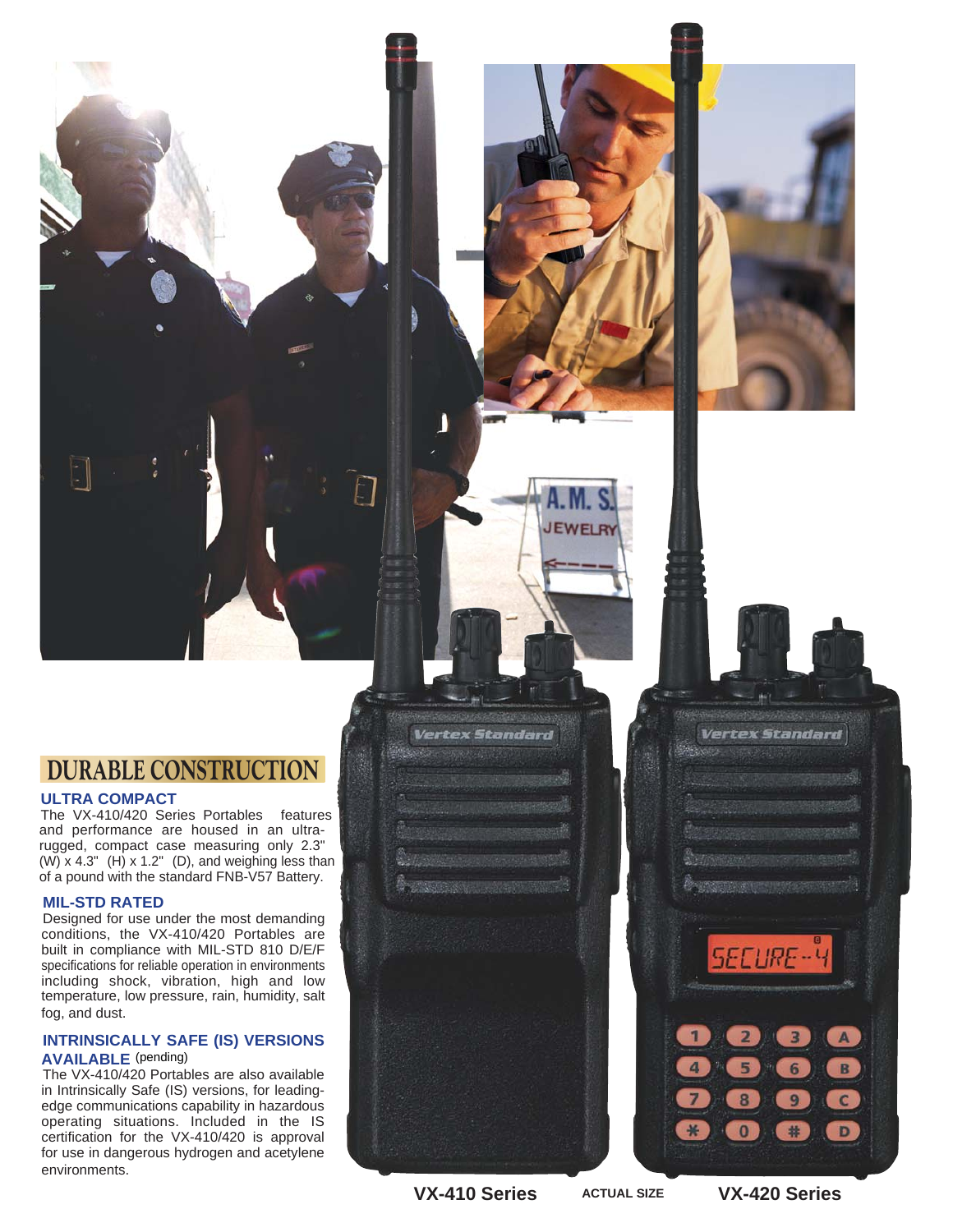## **DURABLE CONSTRUCTION**

#### **ULTRA COMPACT**

The VX-410/420 Series Portables features and performance are housed in an ultrarugged, compact case measuring only 2.3" (W) x 4.3" (H) x 1.2" (D), and weighing less than of a pound with the standard FNB-V57 Battery.

#### **MIL-STD RATED**

Designed for use under the most demanding conditions, the VX-410/420 Portables are built in compliance with MIL-STD 810 D/E/F specifications for reliable operation in environments including shock, vibration, high and low temperature, low pressure, rain, humidity, salt fog, and dust.

#### **INTRINSICALLY SAFE (IS) VERSIONS AVAILABLE** (pending)

The VX-410/420 Portables are also available in Intrinsically Safe (IS) versions, for leadingedge communications capability in hazardous operating situations. Included in the IS certification for the VX-410/420 is approval for use in dangerous hydrogen and acetylene environments.

**VX-410 Series VX-420 Series**

**Vertex Standard** 

**ACTUAL SIZE**

**JEWELR** 

6

9

#

**Vertex Standard** 

**SECURE-4** 

8

 $\bf{0}$ 

A

B

 $\mathbf{C}$ 

D